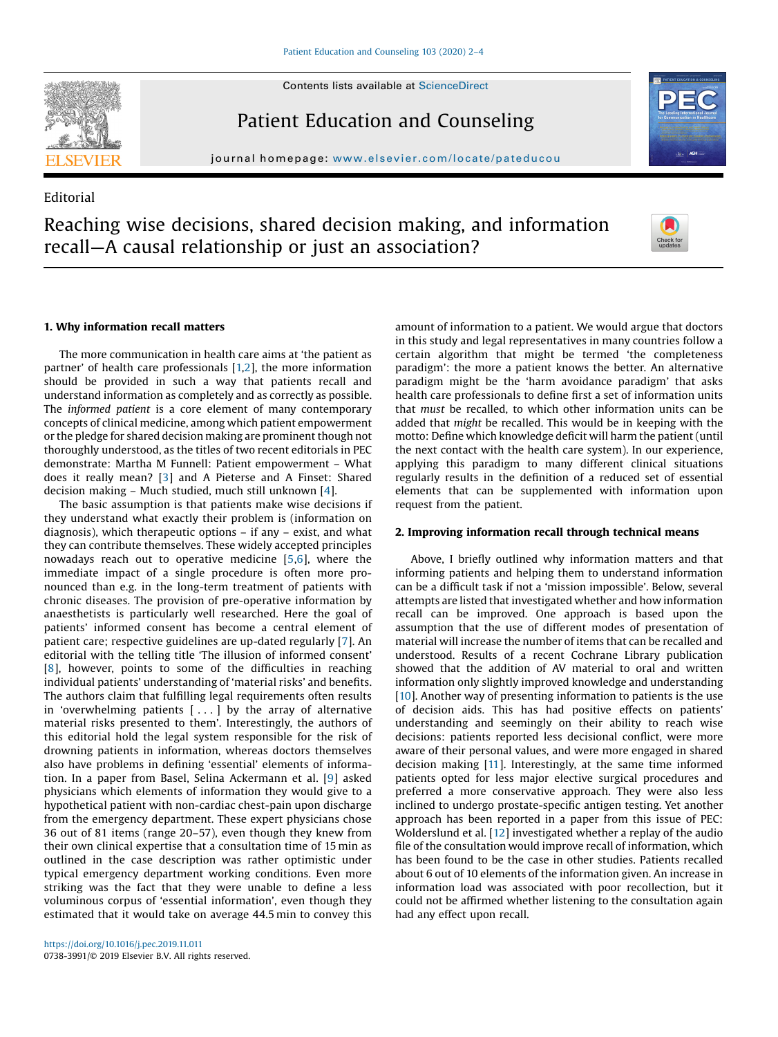Contents lists available at [ScienceDirect](http://www.sciencedirect.com/science/journal/07383991)



**Editorial** 

Patient Education and Counseling

journal homepage: <www.elsevier.com/locate/pateducou>

# Reaching wise decisions, shared decision making, and information recall—A causal relationship or just an association?



#### 1. Why information recall matters

The more communication in health care aims at 'the patient as partner' of health care professionals [[1,2](#page-2-0)], the more information should be provided in such a way that patients recall and understand information as completely and as correctly as possible. The informed patient is a core element of many contemporary concepts of clinical medicine, among which patient empowerment or the pledge for shared decision making are prominent though not thoroughly understood, as the titles of two recent editorials in PEC demonstrate: Martha M Funnell: Patient empowerment – What does it really mean? [[3](#page-2-0)] and A Pieterse and A Finset: Shared decision making – Much studied, much still unknown [\[4](#page-2-0)].

The basic assumption is that patients make wise decisions if they understand what exactly their problem is (information on diagnosis), which therapeutic options – if any – exist, and what they can contribute themselves. These widely accepted principles nowadays reach out to operative medicine [\[5,6](#page-2-0)], where the immediate impact of a single procedure is often more pronounced than e.g. in the long-term treatment of patients with chronic diseases. The provision of pre-operative information by anaesthetists is particularly well researched. Here the goal of patients' informed consent has become a central element of patient care; respective guidelines are up-dated regularly [[7\]](#page-2-0). An editorial with the telling title 'The illusion of informed consent' [[8\]](#page-2-0), however, points to some of the difficulties in reaching individual patients' understanding of 'material risks' and benefits. The authors claim that fulfilling legal requirements often results in 'overwhelming patients [ . . . ] by the array of alternative material risks presented to them'. Interestingly, the authors of this editorial hold the legal system responsible for the risk of drowning patients in information, whereas doctors themselves also have problems in defining 'essential' elements of information. In a paper from Basel, Selina Ackermann et al. [[9\]](#page-2-0) asked physicians which elements of information they would give to a hypothetical patient with non-cardiac chest-pain upon discharge from the emergency department. These expert physicians chose 36 out of 81 items (range 20–57), even though they knew from their own clinical expertise that a consultation time of 15 min as outlined in the case description was rather optimistic under typical emergency department working conditions. Even more striking was the fact that they were unable to define a less voluminous corpus of 'essential information', even though they estimated that it would take on average 44.5 min to convey this

amount of information to a patient. We would argue that doctors in this study and legal representatives in many countries follow a certain algorithm that might be termed 'the completeness paradigm': the more a patient knows the better. An alternative paradigm might be the 'harm avoidance paradigm' that asks health care professionals to define first a set of information units that must be recalled, to which other information units can be added that might be recalled. This would be in keeping with the motto: Define which knowledge deficit will harm the patient (until the next contact with the health care system). In our experience, applying this paradigm to many different clinical situations regularly results in the definition of a reduced set of essential elements that can be supplemented with information upon request from the patient.

#### 2. Improving information recall through technical means

Above, I briefly outlined why information matters and that informing patients and helping them to understand information can be a difficult task if not a 'mission impossible'. Below, several attempts are listed that investigated whether and how information recall can be improved. One approach is based upon the assumption that the use of different modes of presentation of material will increase the number of items that can be recalled and understood. Results of a recent Cochrane Library publication showed that the addition of AV material to oral and written information only slightly improved knowledge and understanding [[10\]](#page-2-0). Another way of presenting information to patients is the use of decision aids. This has had positive effects on patients' understanding and seemingly on their ability to reach wise decisions: patients reported less decisional conflict, were more aware of their personal values, and were more engaged in shared decision making [[11](#page-2-0)]. Interestingly, at the same time informed patients opted for less major elective surgical procedures and preferred a more conservative approach. They were also less inclined to undergo prostate-specific antigen testing. Yet another approach has been reported in a paper from this issue of PEC: Wolderslund et al. [[12](#page-2-0)] investigated whether a replay of the audio file of the consultation would improve recall of information, which has been found to be the case in other studies. Patients recalled about 6 out of 10 elements of the information given. An increase in information load was associated with poor recollection, but it could not be affirmed whether listening to the consultation again had any effect upon recall.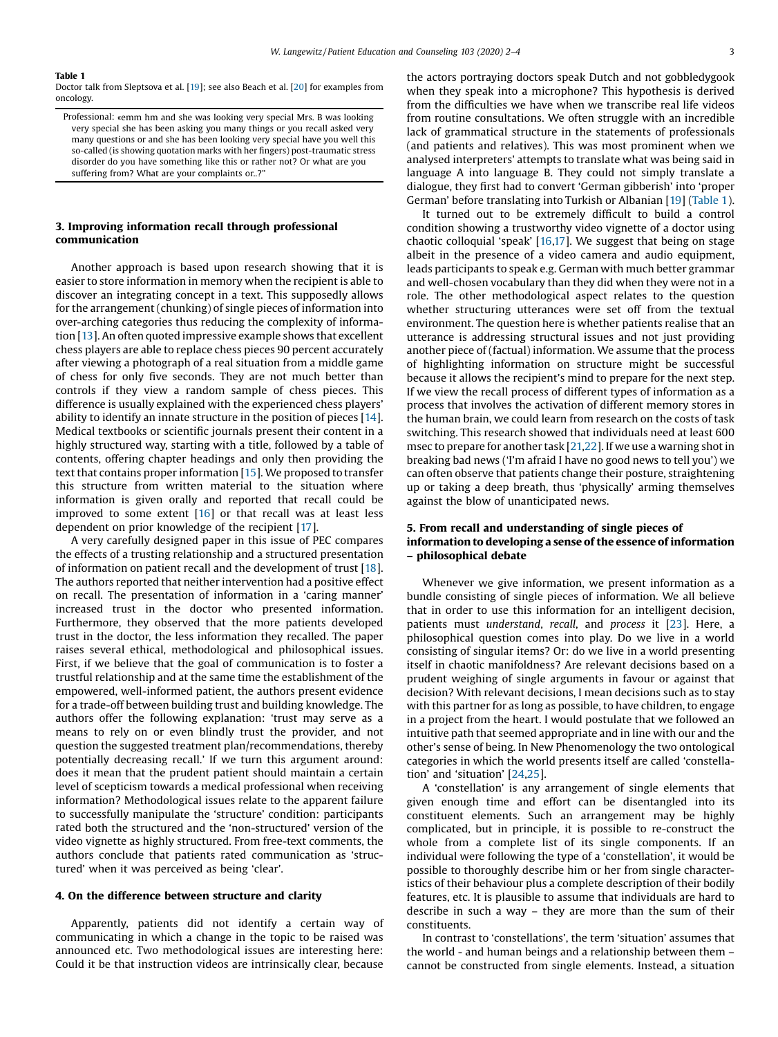#### Table 1

Doctor talk from Sleptsova et al. [\[19\]](#page-2-0); see also Beach et al. [\[20\]](#page-2-0) for examples from oncology.

Professional: «emm hm and she was looking very special Mrs. B was looking very special she has been asking you many things or you recall asked very many questions or and she has been looking very special have you well this so-called (is showing quotation marks with her fingers) post-traumatic stress disorder do you have something like this or rather not? Or what are you suffering from? What are your complaints or..?'

## 3. Improving information recall through professional communication

Another approach is based upon research showing that it is easier to store information in memory when the recipient is able to discover an integrating concept in a text. This supposedly allows for the arrangement (chunking) of single pieces of information into over-arching categories thus reducing the complexity of information [\[13](#page-2-0)]. An often quoted impressive example shows that excellent chess players are able to replace chess pieces 90 percent accurately after viewing a photograph of a real situation from a middle game of chess for only five seconds. They are not much better than controls if they view a random sample of chess pieces. This difference is usually explained with the experienced chess players' ability to identify an innate structure in the position of pieces [\[14](#page-2-0)]. Medical textbooks or scientific journals present their content in a highly structured way, starting with a title, followed by a table of contents, offering chapter headings and only then providing the text that contains proper information [\[15](#page-2-0)]. We proposed to transfer this structure from written material to the situation where information is given orally and reported that recall could be improved to some extent  $[16]$  $[16]$  $[16]$  or that recall was at least less dependent on prior knowledge of the recipient [\[17](#page-2-0)].

A very carefully designed paper in this issue of PEC compares the effects of a trusting relationship and a structured presentation of information on patient recall and the development of trust [\[18](#page-2-0)]. The authors reported that neither intervention had a positive effect on recall. The presentation of information in a 'caring manner' increased trust in the doctor who presented information. Furthermore, they observed that the more patients developed trust in the doctor, the less information they recalled. The paper raises several ethical, methodological and philosophical issues. First, if we believe that the goal of communication is to foster a trustful relationship and at the same time the establishment of the empowered, well-informed patient, the authors present evidence for a trade-off between building trust and building knowledge. The authors offer the following explanation: 'trust may serve as a means to rely on or even blindly trust the provider, and not question the suggested treatment plan/recommendations, thereby potentially decreasing recall.' If we turn this argument around: does it mean that the prudent patient should maintain a certain level of scepticism towards a medical professional when receiving information? Methodological issues relate to the apparent failure to successfully manipulate the 'structure' condition: participants rated both the structured and the 'non-structured' version of the video vignette as highly structured. From free-text comments, the authors conclude that patients rated communication as 'structured' when it was perceived as being 'clear'.

#### 4. On the difference between structure and clarity

Apparently, patients did not identify a certain way of communicating in which a change in the topic to be raised was announced etc. Two methodological issues are interesting here: Could it be that instruction videos are intrinsically clear, because

the actors portraying doctors speak Dutch and not gobbledygook when they speak into a microphone? This hypothesis is derived from the difficulties we have when we transcribe real life videos from routine consultations. We often struggle with an incredible lack of grammatical structure in the statements of professionals (and patients and relatives). This was most prominent when we analysed interpreters' attempts to translate what was being said in language A into language B. They could not simply translate a dialogue, they first had to convert 'German gibberish' into 'proper German' before translating into Turkish or Albanian [[19](#page-2-0)] (Table 1).

It turned out to be extremely difficult to build a control condition showing a trustworthy video vignette of a doctor using chaotic colloquial 'speak' [\[16,17](#page-2-0)]. We suggest that being on stage albeit in the presence of a video camera and audio equipment, leads participants to speak e.g. German with much better grammar and well-chosen vocabulary than they did when they were not in a role. The other methodological aspect relates to the question whether structuring utterances were set off from the textual environment. The question here is whether patients realise that an utterance is addressing structural issues and not just providing another piece of (factual) information. We assume that the process of highlighting information on structure might be successful because it allows the recipient's mind to prepare for the next step. If we view the recall process of different types of information as a process that involves the activation of different memory stores in the human brain, we could learn from research on the costs of task switching. This research showed that individuals need at least 600 msec to prepare for another task [[21,22](#page-2-0)]. If we use a warning shot in breaking bad news ('I'm afraid I have no good news to tell you') we can often observe that patients change their posture, straightening up or taking a deep breath, thus 'physically' arming themselves against the blow of unanticipated news.

## 5. From recall and understanding of single pieces of information to developing a sense of the essence of information – philosophical debate

Whenever we give information, we present information as a bundle consisting of single pieces of information. We all believe that in order to use this information for an intelligent decision, patients must understand, recall, and process it [\[23\]](#page-2-0). Here, a philosophical question comes into play. Do we live in a world consisting of singular items? Or: do we live in a world presenting itself in chaotic manifoldness? Are relevant decisions based on a prudent weighing of single arguments in favour or against that decision? With relevant decisions, I mean decisions such as to stay with this partner for as long as possible, to have children, to engage in a project from the heart. I would postulate that we followed an intuitive path that seemed appropriate and in line with our and the other's sense of being. In New Phenomenology the two ontological categories in which the world presents itself are called 'constellation' and 'situation' [\[24,25](#page-2-0)].

A 'constellation' is any arrangement of single elements that given enough time and effort can be disentangled into its constituent elements. Such an arrangement may be highly complicated, but in principle, it is possible to re-construct the whole from a complete list of its single components. If an individual were following the type of a 'constellation', it would be possible to thoroughly describe him or her from single characteristics of their behaviour plus a complete description of their bodily features, etc. It is plausible to assume that individuals are hard to describe in such a way – they are more than the sum of their constituents.

In contrast to 'constellations', the term 'situation' assumes that the world - and human beings and a relationship between them – cannot be constructed from single elements. Instead, a situation